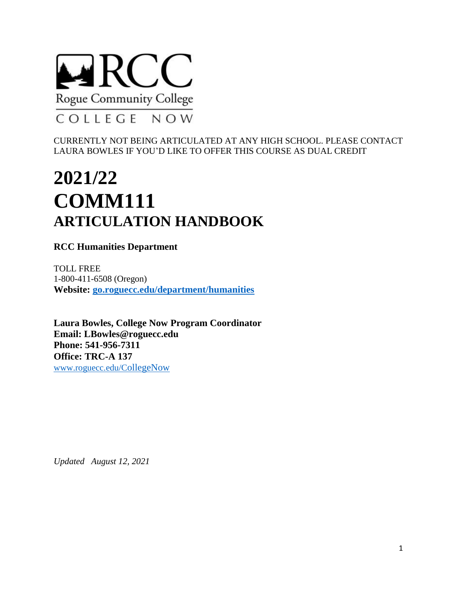

CURRENTLY NOT BEING ARTICULATED AT ANY HIGH SCHOOL. PLEASE CONTACT LAURA BOWLES IF YOU'D LIKE TO OFFER THIS COURSE AS DUAL CREDIT

# **2021/22 COMM111 ARTICULATION HANDBOOK**

**RCC Humanities Department**

TOLL FREE 1-800-411-6508 (Oregon) **Website: [go.roguecc.edu/department/humanities](https://go.roguecc.edu/department/humanities)**

**Laura Bowles, College Now Program Coordinator Email: [LBowles@roguecc.edu](mailto:lgarrett@roguecc.edu) Phone: 541-956-7311 Office: TRC-A 137** [www.roguecc.edu/C](http://www.roguecc.edu/CollegeNow)ollegeNow

*Updated August 12, 2021*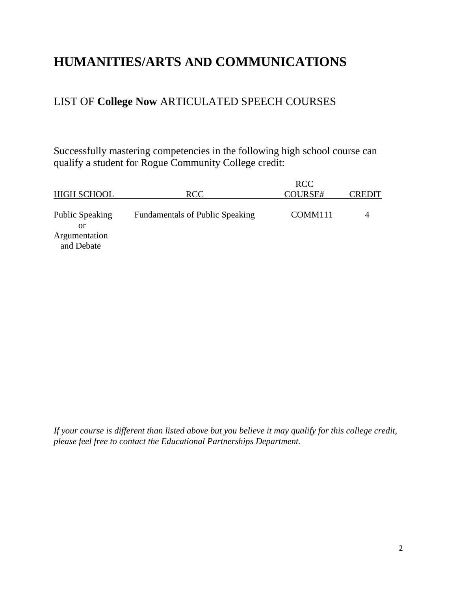## **HUMANITIES/ARTS AND COMMUNICATIONS**

### LIST OF **College Now** ARTICULATED SPEECH COURSES

Successfully mastering competencies in the following high school course can qualify a student for Rogue Community College credit:

| <b>HIGH SCHOOL</b>                                          | <b>RCC</b>                             | <b>RCC</b><br>COURSE# | CREDIT |
|-------------------------------------------------------------|----------------------------------------|-----------------------|--------|
| <b>Public Speaking</b><br>or<br>Argumentation<br>and Debate | <b>Fundamentals of Public Speaking</b> | COMM <sub>111</sub>   |        |

*If your course is different than listed above but you believe it may qualify for this college credit, please feel free to contact the Educational Partnerships Department.*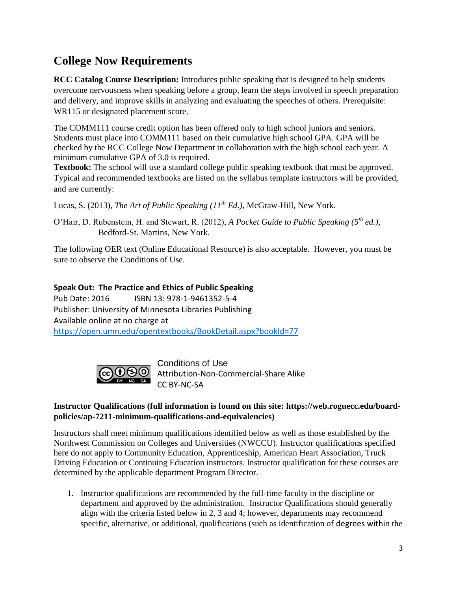## **College Now Requirements**

**RCC Catalog Course Description:** Introduces public speaking that is designed to help students overcome nervousness when speaking before a group, learn the steps involved in speech preparation and delivery, and improve skills in analyzing and evaluating the speeches of others. Prerequisite: WR115 or designated placement score.

The COMM111 course credit option has been offered only to high school juniors and seniors. Students must place into COMM111 based on their cumulative high school GPA. GPA will be checked by the RCC College Now Department in collaboration with the high school each year. A minimum cumulative GPA of 3.0 is required.

**Textbook:** The school will use a standard college public speaking textbook that must be approved. Typical and recommended textbooks are listed on the syllabus template instructors will be provided, and are currently:

Lucas, S. (2013), *The Art of Public Speaking (11th Ed.),* McGraw-Hill, New York.

O'Hair, D. Rubenstein, H. and Stewart, R. (2012), *A Pocket Guide to Public Speaking (5th ed.),*  Bedford-St. Martins, New York.

The following OER text (Online Educational Resource) is also acceptable. However, you must be sure to observe the Conditions of Use.

#### **Speak Out: The Practice and Ethics of Public Speaking**

Pub Date: 2016 ISBN 13: 978-1-9461352-5-4 Publisher: University of Minnesota Libraries Publishing Available online at no charge at <https://open.umn.edu/opentextbooks/BookDetail.aspx?bookId=77>



Conditions of Use Attribution-Non-Commercial-Share Alike CC BY-NC-SA

#### **Instructor Qualifications (full information is found on this site: https://web.roguecc.edu/boardpolicies/ap-7211-minimum-qualifications-and-equivalencies)**

Instructors shall meet minimum qualifications identified below as well as those established by the Northwest Commission on Colleges and Universities (NWCCU). Instructor qualifications specified here do not apply to Community Education, Apprenticeship, American Heart Association, Truck Driving Education or Continuing Education instructors. Instructor qualification for these courses are determined by the applicable department Program Director.

1. Instructor qualifications are recommended by the full-time faculty in the discipline or department and approved by the administration. Instructor Qualifications should generally align with the criteria listed below in 2, 3 and 4; however, departments may recommend specific, alternative, or additional, qualifications (such as identification of degrees within the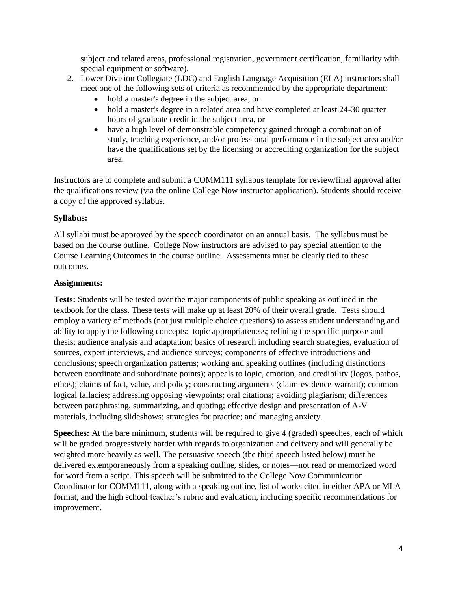subject and related areas, professional registration, government certification, familiarity with special equipment or software).

- 2. Lower Division Collegiate (LDC) and English Language Acquisition (ELA) instructors shall meet one of the following sets of criteria as recommended by the appropriate department:
	- hold a master's degree in the subject area, or
	- hold a master's degree in a related area and have completed at least 24-30 quarter hours of graduate credit in the subject area, or
	- have a high level of demonstrable competency gained through a combination of study, teaching experience, and/or professional performance in the subject area and/or have the qualifications set by the licensing or accrediting organization for the subject area.

Instructors are to complete and submit a COMM111 syllabus template for review/final approval after the qualifications review (via the online College Now instructor application). Students should receive a copy of the approved syllabus.

#### **Syllabus:**

All syllabi must be approved by the speech coordinator on an annual basis. The syllabus must be based on the course outline. College Now instructors are advised to pay special attention to the Course Learning Outcomes in the course outline. Assessments must be clearly tied to these outcomes.

#### **Assignments:**

**Tests:** Students will be tested over the major components of public speaking as outlined in the textbook for the class. These tests will make up at least 20% of their overall grade. Tests should employ a variety of methods (not just multiple choice questions) to assess student understanding and ability to apply the following concepts: topic appropriateness; refining the specific purpose and thesis; audience analysis and adaptation; basics of research including search strategies, evaluation of sources, expert interviews, and audience surveys; components of effective introductions and conclusions; speech organization patterns; working and speaking outlines (including distinctions between coordinate and subordinate points); appeals to logic, emotion, and credibility (logos, pathos, ethos); claims of fact, value, and policy; constructing arguments (claim-evidence-warrant); common logical fallacies; addressing opposing viewpoints; oral citations; avoiding plagiarism; differences between paraphrasing, summarizing, and quoting; effective design and presentation of A-V materials, including slideshows; strategies for practice; and managing anxiety.

**Speeches:** At the bare minimum, students will be required to give 4 (graded) speeches, each of which will be graded progressively harder with regards to organization and delivery and will generally be weighted more heavily as well. The persuasive speech (the third speech listed below) must be delivered extemporaneously from a speaking outline, slides, or notes—not read or memorized word for word from a script. This speech will be submitted to the College Now Communication Coordinator for COMM111, along with a speaking outline, list of works cited in either APA or MLA format, and the high school teacher's rubric and evaluation, including specific recommendations for improvement.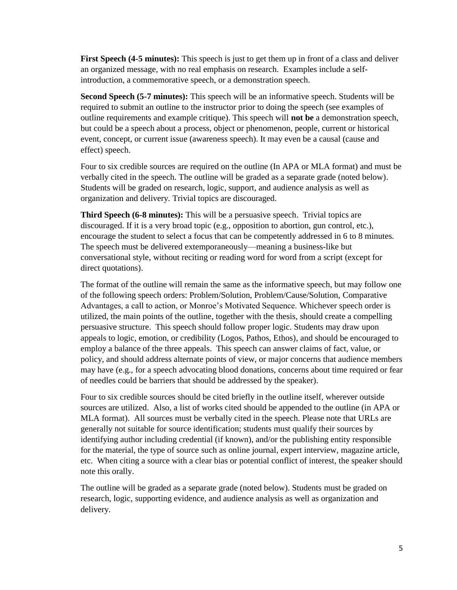**First Speech (4-5 minutes):** This speech is just to get them up in front of a class and deliver an organized message, with no real emphasis on research. Examples include a selfintroduction, a commemorative speech, or a demonstration speech.

**Second Speech (5-7 minutes):** This speech will be an informative speech. Students will be required to submit an outline to the instructor prior to doing the speech (see examples of outline requirements and example critique). This speech will **not be** a demonstration speech, but could be a speech about a process, object or phenomenon, people, current or historical event, concept, or current issue (awareness speech). It may even be a causal (cause and effect) speech.

Four to six credible sources are required on the outline (In APA or MLA format) and must be verbally cited in the speech. The outline will be graded as a separate grade (noted below). Students will be graded on research, logic, support, and audience analysis as well as organization and delivery. Trivial topics are discouraged.

**Third Speech (6-8 minutes):** This will be a persuasive speech. Trivial topics are discouraged. If it is a very broad topic (e.g., opposition to abortion, gun control, etc.), encourage the student to select a focus that can be competently addressed in 6 to 8 minutes. The speech must be delivered extemporaneously—meaning a business-like but conversational style, without reciting or reading word for word from a script (except for direct quotations).

The format of the outline will remain the same as the informative speech, but may follow one of the following speech orders: Problem/Solution, Problem/Cause/Solution, Comparative Advantages, a call to action, or Monroe's Motivated Sequence. Whichever speech order is utilized, the main points of the outline, together with the thesis, should create a compelling persuasive structure. This speech should follow proper logic. Students may draw upon appeals to logic, emotion, or credibility (Logos, Pathos, Ethos), and should be encouraged to employ a balance of the three appeals. This speech can answer claims of fact, value, or policy, and should address alternate points of view, or major concerns that audience members may have (e.g., for a speech advocating blood donations, concerns about time required or fear of needles could be barriers that should be addressed by the speaker).

Four to six credible sources should be cited briefly in the outline itself, wherever outside sources are utilized. Also, a list of works cited should be appended to the outline (in APA or MLA format). All sources must be verbally cited in the speech. Please note that URLs are generally not suitable for source identification; students must qualify their sources by identifying author including credential (if known), and/or the publishing entity responsible for the material, the type of source such as online journal, expert interview, magazine article, etc. When citing a source with a clear bias or potential conflict of interest, the speaker should note this orally.

The outline will be graded as a separate grade (noted below). Students must be graded on research, logic, supporting evidence, and audience analysis as well as organization and delivery.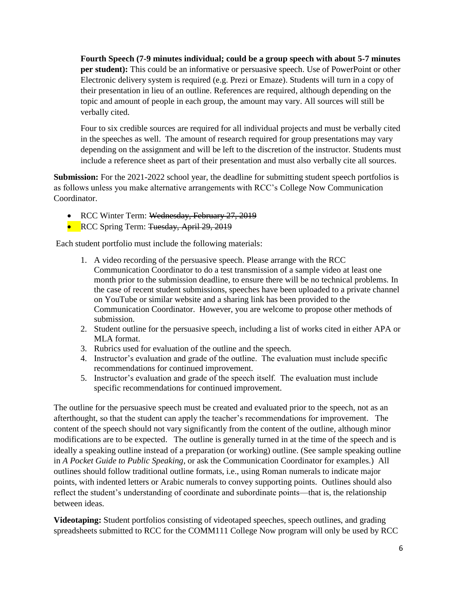**Fourth Speech (7-9 minutes individual; could be a group speech with about 5-7 minutes per student):** This could be an informative or persuasive speech. Use of PowerPoint or other Electronic delivery system is required (e.g. Prezi or Emaze). Students will turn in a copy of their presentation in lieu of an outline. References are required, although depending on the topic and amount of people in each group, the amount may vary. All sources will still be verbally cited.

Four to six credible sources are required for all individual projects and must be verbally cited in the speeches as well. The amount of research required for group presentations may vary depending on the assignment and will be left to the discretion of the instructor. Students must include a reference sheet as part of their presentation and must also verbally cite all sources.

**Submission:** For the 2021-2022 school year, the deadline for submitting student speech portfolios is as follows unless you make alternative arrangements with RCC's College Now Communication Coordinator.

- RCC Winter Term: Wednesday, February 27, 2019
- RCC Spring Term: Tuesday, April 29, 2019

Each student portfolio must include the following materials:

- 1. A video recording of the persuasive speech. Please arrange with the RCC Communication Coordinator to do a test transmission of a sample video at least one month prior to the submission deadline, to ensure there will be no technical problems. In the case of recent student submissions, speeches have been uploaded to a private channel on YouTube or similar website and a sharing link has been provided to the Communication Coordinator. However, you are welcome to propose other methods of submission.
- 2. Student outline for the persuasive speech, including a list of works cited in either APA or MLA format.
- 3. Rubrics used for evaluation of the outline and the speech.
- 4. Instructor's evaluation and grade of the outline. The evaluation must include specific recommendations for continued improvement.
- 5. Instructor's evaluation and grade of the speech itself. The evaluation must include specific recommendations for continued improvement.

The outline for the persuasive speech must be created and evaluated prior to the speech, not as an afterthought, so that the student can apply the teacher's recommendations for improvement. The content of the speech should not vary significantly from the content of the outline, although minor modifications are to be expected. The outline is generally turned in at the time of the speech and is ideally a speaking outline instead of a preparation (or working) outline. (See sample speaking outline in *A Pocket Guide to Public Speaking*, or ask the Communication Coordinator for examples.) All outlines should follow traditional outline formats, i.e., using Roman numerals to indicate major points, with indented letters or Arabic numerals to convey supporting points. Outlines should also reflect the student's understanding of coordinate and subordinate points—that is, the relationship between ideas.

**Videotaping:** Student portfolios consisting of videotaped speeches, speech outlines, and grading spreadsheets submitted to RCC for the COMM111 College Now program will only be used by RCC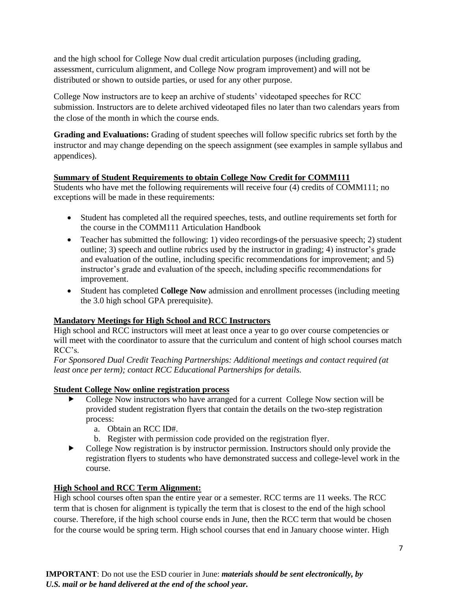and the high school for College Now dual credit articulation purposes (including grading, assessment, curriculum alignment, and College Now program improvement) and will not be distributed or shown to outside parties, or used for any other purpose.

College Now instructors are to keep an archive of students' videotaped speeches for RCC submission. Instructors are to delete archived videotaped files no later than two calendars years from the close of the month in which the course ends.

**Grading and Evaluations:** Grading of student speeches will follow specific rubrics set forth by the instructor and may change depending on the speech assignment (see examples in sample syllabus and appendices).

#### **Summary of Student Requirements to obtain College Now Credit for COMM111**

Students who have met the following requirements will receive four (4) credits of COMM111; no exceptions will be made in these requirements:

- Student has completed all the required speeches, tests, and outline requirements set forth for the course in the COMM111 Articulation Handbook
- Teacher has submitted the following: 1) video recordings of the persuasive speech; 2) student outline; 3) speech and outline rubrics used by the instructor in grading; 4) instructor's grade and evaluation of the outline, including specific recommendations for improvement; and 5) instructor's grade and evaluation of the speech, including specific recommendations for improvement.
- Student has completed **College Now** admission and enrollment processes (including meeting the 3.0 high school GPA prerequisite).

#### **Mandatory Meetings for High School and RCC Instructors**

High school and RCC instructors will meet at least once a year to go over course competencies or will meet with the coordinator to assure that the curriculum and content of high school courses match RCC's.

*For Sponsored Dual Credit Teaching Partnerships: Additional meetings and contact required (at least once per term); contact RCC Educational Partnerships for details.*

#### **Student College Now online registration process**

- College Now instructors who have arranged for a current College Now section will be provided student registration flyers that contain the details on the two-step registration process:
	- a. Obtain an RCC ID#.
	- b. Register with permission code provided on the registration flyer.
- College Now registration is by instructor permission. Instructors should only provide the registration flyers to students who have demonstrated success and college-level work in the course.

#### **High School and RCC Term Alignment:**

High school courses often span the entire year or a semester. RCC terms are 11 weeks. The RCC term that is chosen for alignment is typically the term that is closest to the end of the high school course. Therefore, if the high school course ends in June, then the RCC term that would be chosen for the course would be spring term. High school courses that end in January choose winter. High